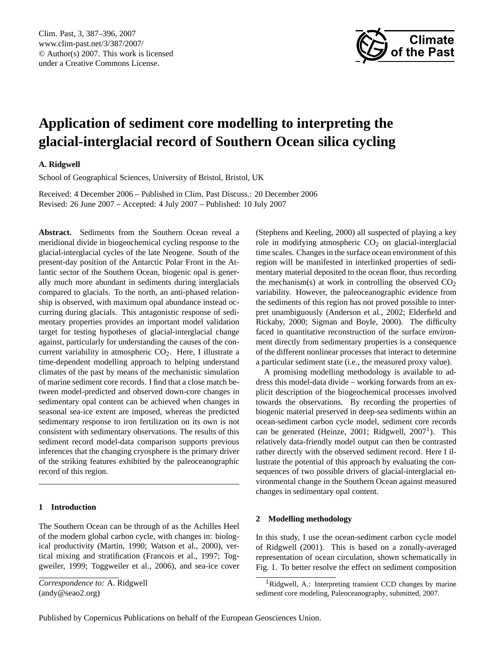

# <span id="page-0-1"></span>**Application of sediment core modelling to interpreting the glacial-interglacial record of Southern Ocean silica cycling**

# **A. Ridgwell**

School of Geographical Sciences, University of Bristol, Bristol, UK

Received: 4 December 2006 – Published in Clim. Past Discuss.: 20 December 2006 Revised: 26 June 2007 – Accepted: 4 July 2007 – Published: 10 July 2007

**Abstract.** Sediments from the Southern Ocean reveal a meridional divide in biogeochemical cycling response to the glacial-interglacial cycles of the late Neogene. South of the present-day position of the Antarctic Polar Front in the Atlantic sector of the Southern Ocean, biogenic opal is generally much more abundant in sediments during interglacials compared to glacials. To the north, an anti-phased relationship is observed, with maximum opal abundance instead occurring during glacials. This antagonistic response of sedimentary properties provides an important model validation target for testing hypotheses of glacial-interglacial change against, particularly for understanding the causes of the concurrent variability in atmospheric CO2. Here, I illustrate a time-dependent modelling approach to helping understand climates of the past by means of the mechanistic simulation of marine sediment core records. I find that a close match between model-predicted and observed down-core changes in sedimentary opal content can be achieved when changes in seasonal sea-ice extent are imposed, whereas the predicted sedimentary response to iron fertilization on its own is not consistent with sedimentary observations. The results of this sediment record model-data comparison supports previous inferences that the changing cryosphere is the primary driver of the striking features exhibited by the paleoceanographic record of this region.

### **1 Introduction**

The Southern Ocean can be through of as the Achilles Heel of the modern global carbon cycle, with changes in: biological productivity (Martin, 1990; Watson et al., 2000), vertical mixing and stratification (Francois et al., 1997; Toggweiler, 1999; Toggweiler et al., 2006), and sea-ice cover (Stephens and Keeling, 2000) all suspected of playing a key role in modifying atmospheric  $CO<sub>2</sub>$  on glacial-interglacial time scales. Changes in the surface ocean environment of this region will be manifested in interlinked properties of sedimentary material deposited to the ocean floor, thus recording the mechanism(s) at work in controlling the observed  $CO<sub>2</sub>$ variability. However, the paleoceanographic evidence from the sediments of this region has not proved possible to interpret unambiguously (Anderson et al., 2002; Elderfield and Rickaby, 2000; Sigman and Boyle, 2000). The difficulty faced in quantitative reconstruction of the surface environment directly from sedimentary properties is a consequence of the different nonlinear processes that interact to determine a particular sediment state (i.e., the measured proxy value).

A promising modelling methodology is available to address this model-data divide – working forwards from an explicit description of the biogeochemical processes involved towards the observations. By recording the properties of biogenic material preserved in deep-sea sediments within an ocean-sediment carbon cycle model, sediment core records can be generated (Heinze, 200[1](#page-0-0); Ridgwell,  $2007<sup>1</sup>$ ). This relatively data-friendly model output can then be contrasted rather directly with the observed sediment record. Here I illustrate the potential of this approach by evaluating the consequences of two possible drivers of glacial-interglacial environmental change in the Southern Ocean against measured changes in sedimentary opal content.

#### **2 Modelling methodology**

In this study, I use the ocean-sediment carbon cycle model of Ridgwell (2001). This is based on a zonally-averaged representation of ocean circulation, shown schematically in Fig. 1. To better resolve the effect on sediment composition

*Correspondence to:* A. Ridgwell (andy@seao2.org)

<span id="page-0-0"></span><sup>&</sup>lt;sup>1</sup>Ridgwell, A.: Interpreting transient CCD changes by marine sediment core modeling, Paleoceanography, submitted, 2007.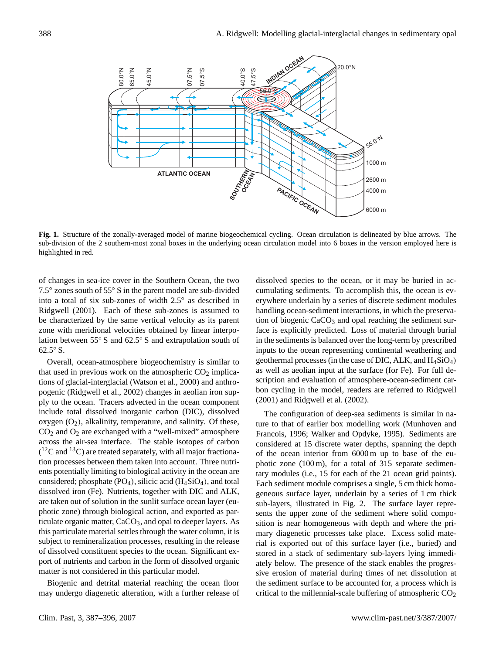

**Fig. 1.** Structure of the zonally-averaged model of marine biogeochemical cycling. Ocean circulation is delineated by blue arrows. The sub-division of the 2 southern-most zonal boxes in the underlying ocean circulation model into 6 boxes in the version employed here is highlighted in red.

of changes in sea-ice cover in the Southern Ocean, the two 7.5◦ zones south of 55◦ S in the parent model are sub-divided into a total of six sub-zones of width 2.5◦ as described in Ridgwell (2001). Each of these sub-zones is assumed to be characterized by the same vertical velocity as its parent zone with meridional velocities obtained by linear interpolation between 55◦ S and 62.5◦ S and extrapolation south of 62.5◦ S.

Overall, ocean-atmosphere biogeochemistry is similar to that used in previous work on the atmospheric  $CO<sub>2</sub>$  implications of glacial-interglacial (Watson et al., 2000) and anthropogenic (Ridgwell et al., 2002) changes in aeolian iron supply to the ocean. Tracers advected in the ocean component include total dissolved inorganic carbon (DIC), dissolved oxygen  $(O_2)$ , alkalinity, temperature, and salinity. Of these,  $CO<sub>2</sub>$  and  $O<sub>2</sub>$  are exchanged with a "well-mixed" atmosphere across the air-sea interface. The stable isotopes of carbon  $(^{12}C$  and  $^{13}C$ ) are treated separately, with all major fractionation processes between them taken into account. Three nutrients potentially limiting to biological activity in the ocean are considered; phosphate  $(PO_4)$ , silicic acid  $(H_4SiO_4)$ , and total dissolved iron (Fe). Nutrients, together with DIC and ALK, are taken out of solution in the sunlit surface ocean layer (euphotic zone) through biological action, and exported as particulate organic matter,  $CaCO<sub>3</sub>$ , and opal to deeper layers. As this particulate material settles through the water column, it is subject to remineralization processes, resulting in the release of dissolved constituent species to the ocean. Significant export of nutrients and carbon in the form of dissolved organic matter is not considered in this particular model.

Biogenic and detrital material reaching the ocean floor may undergo diagenetic alteration, with a further release of

dissolved species to the ocean, or it may be buried in accumulating sediments. To accomplish this, the ocean is everywhere underlain by a series of discrete sediment modules handling ocean-sediment interactions, in which the preservation of biogenic  $CaCO<sub>3</sub>$  and opal reaching the sediment surface is explicitly predicted. Loss of material through burial in the sediments is balanced over the long-term by prescribed inputs to the ocean representing continental weathering and geothermal processes (in the case of DIC, ALK, and  $H_4SiO_4$ ) as well as aeolian input at the surface (for Fe). For full description and evaluation of atmosphere-ocean-sediment carbon cycling in the model, readers are referred to Ridgwell (2001) and Ridgwell et al. (2002).

The configuration of deep-sea sediments is similar in nature to that of earlier box modelling work (Munhoven and Francois, 1996; Walker and Opdyke, 1995). Sediments are considered at 15 discrete water depths, spanning the depth of the ocean interior from 6000 m up to base of the euphotic zone  $(100 \,\mathrm{m})$ , for a total of 315 separate sedimentary modules (i.e., 15 for each of the 21 ocean grid points). Each sediment module comprises a single, 5 cm thick homogeneous surface layer, underlain by a series of 1 cm thick sub-layers, illustrated in Fig. 2. The surface layer represents the upper zone of the sediment where solid composition is near homogeneous with depth and where the primary diagenetic processes take place. Excess solid material is exported out of this surface layer (i.e., buried) and stored in a stack of sedimentary sub-layers lying immediately below. The presence of the stack enables the progressive erosion of material during times of net dissolution at the sediment surface to be accounted for, a process which is critical to the millennial-scale buffering of atmospheric  $CO<sub>2</sub>$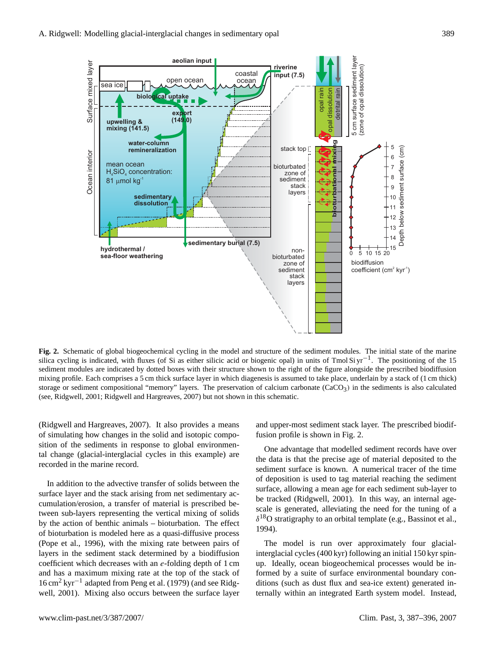

**Fig. 2.** Schematic of global biogeochemical cycling in the model and structure of the sediment modules. The initial state of the marine silica cycling is indicated, with fluxes (of Si as either silicic acid or biogenic opal) in units of Tmol Si yr<sup>-1</sup>. The positioning of the 15 sediment modules are indicated by dotted boxes with their structure shown to the right of the figure alongside the prescribed biodiffusion mixing profile. Each comprises a 5 cm thick surface layer in which diagenesis is assumed to take place, underlain by a stack of (1 cm thick) storage or sediment compositional "memory" layers. The preservation of calcium carbonate  $(CaCO<sub>3</sub>)$  in the sediments is also calculated (see, Ridgwell, 2001; Ridgwell and Hargreaves, 2007) but not shown in this schematic.

(Ridgwell and Hargreaves, 2007). It also provides a means of simulating how changes in the solid and isotopic composition of the sediments in response to global environmental change (glacial-interglacial cycles in this example) are recorded in the marine record.

In addition to the advective transfer of solids between the surface layer and the stack arising from net sedimentary accumulation/erosion, a transfer of material is prescribed between sub-layers representing the vertical mixing of solids by the action of benthic animals – bioturbation. The effect of bioturbation is modeled here as a quasi-diffusive process (Pope et al., 1996), with the mixing rate between pairs of layers in the sediment stack determined by a biodiffusion coefficient which decreases with an e-folding depth of 1 cm and has a maximum mixing rate at the top of the stack of 16 cm<sup>2</sup> kyr−<sup>1</sup> adapted from Peng et al. (1979) (and see Ridgwell, 2001). Mixing also occurs between the surface layer

and upper-most sediment stack layer. The prescribed biodiffusion profile is shown in Fig. 2.

One advantage that modelled sediment records have over the data is that the precise age of material deposited to the sediment surface is known. A numerical tracer of the time of deposition is used to tag material reaching the sediment surface, allowing a mean age for each sediment sub-layer to be tracked (Ridgwell, 2001). In this way, an internal agescale is generated, alleviating the need for the tuning of a  $\delta^{18}$ O stratigraphy to an orbital template (e.g., Bassinot et al., 1994).

The model is run over approximately four glacialinterglacial cycles (400 kyr) following an initial 150 kyr spinup. Ideally, ocean biogeochemical processes would be informed by a suite of surface environmental boundary conditions (such as dust flux and sea-ice extent) generated internally within an integrated Earth system model. Instead,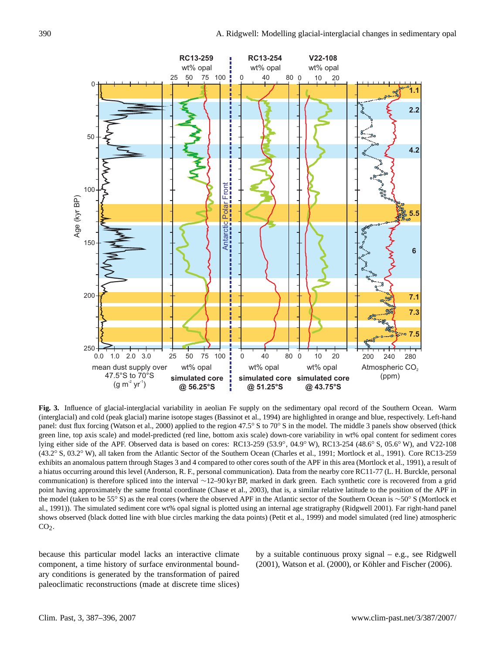

**Fig. 3.** Influence of glacial-interglacial variability in aeolian Fe supply on the sedimentary opal record of the Southern Ocean. Warm (interglacial) and cold (peak glacial) marine isotope stages (Bassinot et al., 1994) are highlighted in orange and blue, respectively. Left-hand panel: dust flux forcing (Watson et al., 2000) applied to the region 47.5◦ S to 70◦ S in the model. The middle 3 panels show observed (thick green line, top axis scale) and model-predicted (red line, bottom axis scale) down-core variability in wt% opal content for sediment cores lying either side of the APF. Observed data is based on cores: RC13-259 (53.9◦ , 04.9◦ W), RC13-254 (48.6◦ S, 05.6◦ W), and V22-108 (43.2◦ S, 03.2◦ W), all taken from the Atlantic Sector of the Southern Ocean (Charles et al., 1991; Mortlock et al., 1991). Core RC13-259 exhibits an anomalous pattern through Stages 3 and 4 compared to other cores south of the APF in this area (Mortlock et al., 1991), a result of a hiatus occurring around this level (Anderson, R. F., personal communication). Data from the nearby core RC11-77 (L. H. Burckle, personal communication) is therefore spliced into the interval ∼12–90 kyr BP, marked in dark green. Each synthetic core is recovered from a grid point having approximately the same frontal coordinate (Chase et al., 2003), that is, a similar relative latitude to the position of the APF in the model (taken to be 55◦ S) as the real cores (where the observed APF in the Atlantic sector of the Southern Ocean is ∼50◦ S (Mortlock et al., 1991)). The simulated sediment core wt% opal signal is plotted using an internal age stratigraphy (Ridgwell 2001). Far right-hand panel shows observed (black dotted line with blue circles marking the data points) (Petit et al., 1999) and model simulated (red line) atmospheric  $CO<sub>2</sub>$ .

because this particular model lacks an interactive climate component, a time history of surface environmental boundary conditions is generated by the transformation of paired paleoclimatic reconstructions (made at discrete time slices)

by a suitable continuous proxy signal – e.g., see Ridgwell (2001), Watson et al. (2000), or Köhler and Fischer (2006).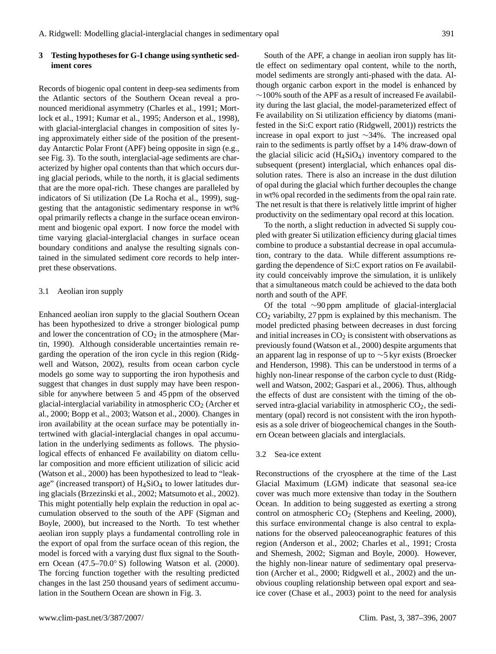#### **3 Testing hypotheses for G-I change using synthetic sediment cores**

Records of biogenic opal content in deep-sea sediments from the Atlantic sectors of the Southern Ocean reveal a pronounced meridional asymmetry (Charles et al., 1991; Mortlock et al., 1991; Kumar et al., 1995; Anderson et al., 1998), with glacial-interglacial changes in composition of sites lying approximately either side of the position of the presentday Antarctic Polar Front (APF) being opposite in sign (e.g., see Fig. 3). To the south, interglacial-age sediments are characterized by higher opal contents than that which occurs during glacial periods, while to the north, it is glacial sediments that are the more opal-rich. These changes are paralleled by indicators of Si utilization (De La Rocha et al., 1999), suggesting that the antagonistic sedimentary response in wt% opal primarily reflects a change in the surface ocean environment and biogenic opal export. I now force the model with time varying glacial-interglacial changes in surface ocean boundary conditions and analyse the resulting signals contained in the simulated sediment core records to help interpret these observations.

#### 3.1 Aeolian iron supply

Enhanced aeolian iron supply to the glacial Southern Ocean has been hypothesized to drive a stronger biological pump and lower the concentration of  $CO<sub>2</sub>$  in the atmosphere (Martin, 1990). Although considerable uncertainties remain regarding the operation of the iron cycle in this region (Ridgwell and Watson, 2002), results from ocean carbon cycle models go some way to supporting the iron hypothesis and suggest that changes in dust supply may have been responsible for anywhere between 5 and 45 ppm of the observed glacial-interglacial variability in atmospheric  $CO<sub>2</sub>$  (Archer et al., 2000; Bopp et al., 2003; Watson et al., 2000). Changes in iron availability at the ocean surface may be potentially intertwined with glacial-interglacial changes in opal accumulation in the underlying sediments as follows. The physiological effects of enhanced Fe availability on diatom cellular composition and more efficient utilization of silicic acid (Watson et al., 2000) has been hypothesized to lead to "leakage" (increased transport) of  $H_4SiO_4$  to lower latitudes during glacials (Brzezinski et al., 2002; Matsumoto et al., 2002). This might potentially help explain the reduction in opal accumulation observed to the south of the APF (Sigman and Boyle, 2000), but increased to the North. To test whether aeolian iron supply plays a fundamental controlling role in the export of opal from the surface ocean of this region, the model is forced with a varying dust flux signal to the Southern Ocean (47.5–70.0◦ S) following Watson et al. (2000). The forcing function together with the resulting predicted changes in the last 250 thousand years of sediment accumulation in the Southern Ocean are shown in Fig. 3.

South of the APF, a change in aeolian iron supply has little effect on sedimentary opal content, while to the north, model sediments are strongly anti-phased with the data. Although organic carbon export in the model is enhanced by  $\sim$ 100% south of the APF as a result of increased Fe availability during the last glacial, the model-parameterized effect of Fe availability on Si utilization efficiency by diatoms (manifested in the Si:C export ratio (Ridgwell, 2001)) restricts the increase in opal export to just ∼34%. The increased opal rain to the sediments is partly offset by a 14% draw-down of the glacial silicic acid  $(H_4SiO_4)$  inventory compared to the subsequent (present) interglacial, which enhances opal dissolution rates. There is also an increase in the dust dilution of opal during the glacial which further decouples the change in wt% opal recorded in the sediments from the opal rain rate. The net result is that there is relatively little imprint of higher productivity on the sedimentary opal record at this location.

To the north, a slight reduction in advected Si supply coupled with greater Si utilization efficiency during glacial times combine to produce a substantial decrease in opal accumulation, contrary to the data. While different assumptions regarding the dependence of Si:C export ratios on Fe availability could conceivably improve the simulation, it is unlikely that a simultaneous match could be achieved to the data both north and south of the APF.

Of the total ∼90 ppm amplitude of glacial-interglacial  $CO<sub>2</sub>$  variabilty, 27 ppm is explained by this mechanism. The model predicted phasing between decreases in dust forcing and initial increases in  $CO<sub>2</sub>$  is consistent with observations as previously found (Watson et al., 2000) despite arguments that an apparent lag in response of up to ∼5 kyr exists (Broecker and Henderson, 1998). This can be understood in terms of a highly non-linear response of the carbon cycle to dust (Ridgwell and Watson, 2002; Gaspari et al., 2006). Thus, although the effects of dust are consistent with the timing of the observed intra-glacial variability in atmospheric  $CO<sub>2</sub>$ , the sedimentary (opal) record is not consistent with the iron hypothesis as a sole driver of biogeochemical changes in the Southern Ocean between glacials and interglacials.

#### 3.2 Sea-ice extent

Reconstructions of the cryosphere at the time of the Last Glacial Maximum (LGM) indicate that seasonal sea-ice cover was much more extensive than today in the Southern Ocean. In addition to being suggested as exerting a strong control on atmospheric  $CO<sub>2</sub>$  (Stephens and Keeling, 2000), this surface environmental change is also central to explanations for the observed paleoceanographic features of this region (Anderson et al., 2002; Charles et al., 1991; Crosta and Shemesh, 2002; Sigman and Boyle, 2000). However, the highly non-linear nature of sedimentary opal preservation (Archer et al., 2000; Ridgwell et al., 2002) and the unobvious coupling relationship between opal export and seaice cover (Chase et al., 2003) point to the need for analysis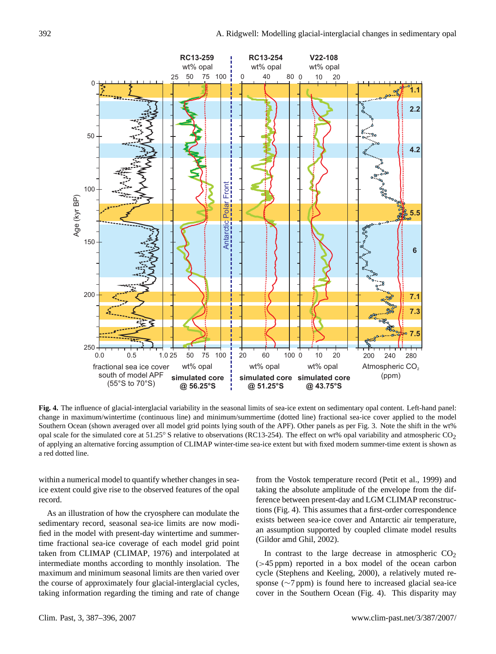

**Fig. 4.** The influence of glacial-interglacial variability in the seasonal limits of sea-ice extent on sedimentary opal content. Left-hand panel: change in maximum/wintertime (continuous line) and minimum/summertime (dotted line) fractional sea-ice cover applied to the model Southern Ocean (shown averaged over all model grid points lying south of the APF). Other panels as per Fig. 3. Note the shift in the wt% opal scale for the simulated core at 51.25° S relative to observations (RC13-254). The effect on wt% opal variability and atmospheric  $CO<sub>2</sub>$ of applying an alternative forcing assumption of CLIMAP winter-time sea-ice extent but with fixed modern summer-time extent is shown as a red dotted line.

within a numerical model to quantify whether changes in seaice extent could give rise to the observed features of the opal record.

As an illustration of how the cryosphere can modulate the sedimentary record, seasonal sea-ice limits are now modified in the model with present-day wintertime and summertime fractional sea-ice coverage of each model grid point taken from CLIMAP (CLIMAP, 1976) and interpolated at intermediate months according to monthly insolation. The maximum and minimum seasonal limits are then varied over the course of approximately four glacial-interglacial cycles, taking information regarding the timing and rate of change

In contrast to the large decrease in atmospheric  $CO<sub>2</sub>$ (>45 ppm) reported in a box model of the ocean carbon cycle (Stephens and Keeling, 2000), a relatively muted response (∼7 ppm) is found here to increased glacial sea-ice

(Gildor amd Ghil, 2002).

from the Vostok temperature record (Petit et al., 1999) and taking the absolute amplitude of the envelope from the difference between present-day and LGM CLIMAP reconstructions (Fig. 4). This assumes that a first-order correspondence exists between sea-ice cover and Antarctic air temperature, an assumption supported by coupled climate model results

cover in the Southern Ocean (Fig. 4). This disparity may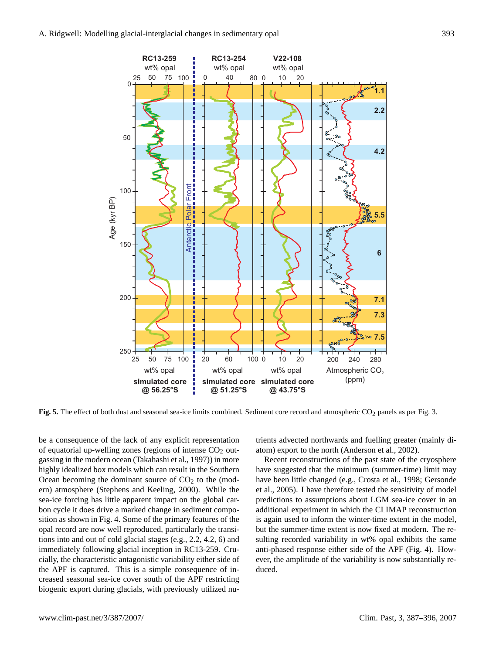

**Fig. 5.** The effect of both dust and seasonal sea-ice limits combined. Sediment core record and atmospheric CO<sub>2</sub> panels as per Fig. 3.

be a consequence of the lack of any explicit representation of equatorial up-welling zones (regions of intense  $CO<sub>2</sub>$  outgassing in the modern ocean (Takahashi et al., 1997)) in more highly idealized box models which can result in the Southern Ocean becoming the dominant source of  $CO<sub>2</sub>$  to the (modern) atmosphere (Stephens and Keeling, 2000). While the sea-ice forcing has little apparent impact on the global carbon cycle it does drive a marked change in sediment composition as shown in Fig. 4. Some of the primary features of the opal record are now well reproduced, particularly the transitions into and out of cold glacial stages (e.g., 2.2, 4.2, 6) and immediately following glacial inception in RC13-259. Crucially, the characteristic antagonistic variability either side of the APF is captured. This is a simple consequence of increased seasonal sea-ice cover south of the APF restricting biogenic export during glacials, with previously utilized nutrients advected northwards and fuelling greater (mainly diatom) export to the north (Anderson et al., 2002).

Recent reconstructions of the past state of the cryosphere have suggested that the minimum (summer-time) limit may have been little changed (e.g., Crosta et al., 1998; Gersonde et al., 2005). I have therefore tested the sensitivity of model predictions to assumptions about LGM sea-ice cover in an additional experiment in which the CLIMAP reconstruction is again used to inform the winter-time extent in the model, but the summer-time extent is now fixed at modern. The resulting recorded variability in wt% opal exhibits the same anti-phased response either side of the APF (Fig. 4). However, the amplitude of the variability is now substantially reduced.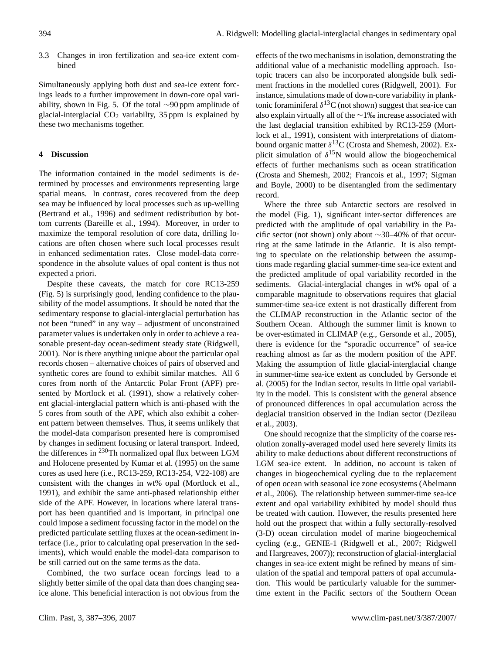3.3 Changes in iron fertilization and sea-ice extent combined

Simultaneously applying both dust and sea-ice extent forcings leads to a further improvement in down-core opal variability, shown in Fig. 5. Of the total ∼90 ppm amplitude of glacial-interglacial  $CO<sub>2</sub>$  variabilty, 35 ppm is explained by these two mechanisms together.

## **4 Discussion**

The information contained in the model sediments is determined by processes and environments representing large spatial means. In contrast, cores recovered from the deep sea may be influenced by local processes such as up-welling (Bertrand et al., 1996) and sediment redistribution by bottom currents (Bareille et al., 1994). Moreover, in order to maximize the temporal resolution of core data, drilling locations are often chosen where such local processes result in enhanced sedimentation rates. Close model-data correspondence in the absolute values of opal content is thus not expected a priori.

Despite these caveats, the match for core RC13-259 (Fig. 5) is surprisingly good, lending confidence to the plausibility of the model assumptions. It should be noted that the sedimentary response to glacial-interglacial perturbation has not been "tuned" in any way – adjustment of unconstrained parameter values is undertaken only in order to achieve a reasonable present-day ocean-sediment steady state (Ridgwell, 2001). Nor is there anything unique about the particular opal records chosen – alternative choices of pairs of observed and synthetic cores are found to exhibit similar matches. All 6 cores from north of the Antarctic Polar Front (APF) presented by Mortlock et al. (1991), show a relatively coherent glacial-interglacial pattern which is anti-phased with the 5 cores from south of the APF, which also exhibit a coherent pattern between themselves. Thus, it seems unlikely that the model-data comparison presented here is compromised by changes in sediment focusing or lateral transport. Indeed, the differences in <sup>230</sup>Th normalized opal flux between LGM and Holocene presented by Kumar et al. (1995) on the same cores as used here (i.e., RC13-259, RC13-254, V22-108) are consistent with the changes in wt% opal (Mortlock et al., 1991), and exhibit the same anti-phased relationship either side of the APF. However, in locations where lateral transport has been quantified and is important, in principal one could impose a sediment focussing factor in the model on the predicted particulate settling fluxes at the ocean-sediment interface (i.e., prior to calculating opal preservation in the sediments), which would enable the model-data comparison to be still carried out on the same terms as the data.

Combined, the two surface ocean forcings lead to a slightly better simile of the opal data than does changing seaice alone. This beneficial interaction is not obvious from the effects of the two mechanisms in isolation, demonstrating the additional value of a mechanistic modelling approach. Isotopic tracers can also be incorporated alongside bulk sediment fractions in the modelled cores (Ridgwell, 2001). For instance, simulations made of down-core variability in planktonic foraminiferal  $\delta^{13}$ C (not shown) suggest that sea-ice can also explain virtually all of the ∼1‰ increase associated with the last deglacial transition exhibited by RC13-259 (Mortlock et al., 1991), consistent with interpretations of diatombound organic matter  $\delta^{13}$ C (Crosta and Shemesh, 2002). Explicit simulation of  $\delta^{15}N$  would allow the biogeochemical effects of further mechanisms such as ocean stratification (Crosta and Shemesh, 2002; Francois et al., 1997; Sigman and Boyle, 2000) to be disentangled from the sedimentary record.

Where the three sub Antarctic sectors are resolved in the model (Fig. 1), significant inter-sector differences are predicted with the amplitude of opal variability in the Pacific sector (not shown) only about ∼30–40% of that occurring at the same latitude in the Atlantic. It is also tempting to speculate on the relationship between the assumptions made regarding glacial summer-time sea-ice extent and the predicted amplitude of opal variability recorded in the sediments. Glacial-interglacial changes in wt% opal of a comparable magnitude to observations requires that glacial summer-time sea-ice extent is not drastically different from the CLIMAP reconstruction in the Atlantic sector of the Southern Ocean. Although the summer limit is known to be over-estimated in CLIMAP (e.g., Gersonde et al., 2005), there is evidence for the "sporadic occurrence" of sea-ice reaching almost as far as the modern position of the APF. Making the assumption of little glacial-interglacial change in summer-time sea-ice extent as concluded by Gersonde et al. (2005) for the Indian sector, results in little opal variability in the model. This is consistent with the general absence of pronounced differences in opal accumulation across the deglacial transition observed in the Indian sector (Dezileau et al., 2003).

One should recognize that the simplicity of the coarse resolution zonally-averaged model used here severely limits its ability to make deductions about different reconstructions of LGM sea-ice extent. In addition, no account is taken of changes in biogeochemical cycling due to the replacement of open ocean with seasonal ice zone ecosystems (Abelmann et al., 2006). The relationship between summer-time sea-ice extent and opal variability exhibited by model should thus be treated with caution. However, the results presented here hold out the prospect that within a fully sectorally-resolved (3-D) ocean circulation model of marine biogeochemical cycling (e.g., GENIE-1 (Ridgwell et al., 2007; Ridgwell and Hargreaves, 2007)); reconstruction of glacial-interglacial changes in sea-ice extent might be refined by means of simulation of the spatial and temporal patters of opal accumulation. This would be particularly valuable for the summertime extent in the Pacific sectors of the Southern Ocean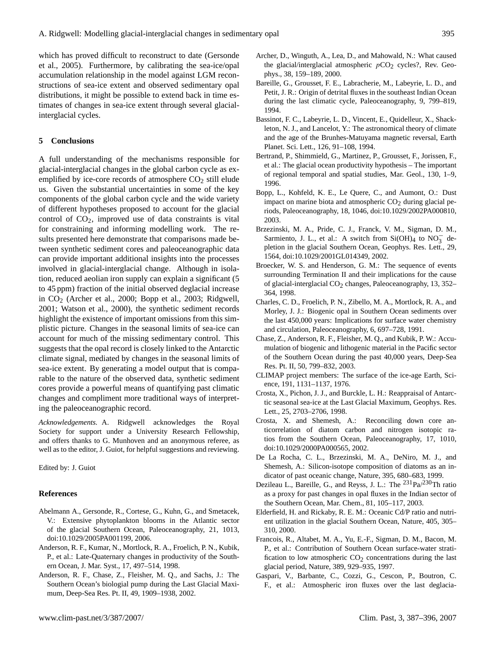which has proved difficult to reconstruct to date (Gersonde et al., 2005). Furthermore, by calibrating the sea-ice/opal accumulation relationship in the model against LGM reconstructions of sea-ice extent and observed sedimentary opal distributions, it might be possible to extend back in time estimates of changes in sea-ice extent through several glacialinterglacial cycles.

#### **5 Conclusions**

A full understanding of the mechanisms responsible for glacial-interglacial changes in the global carbon cycle as exemplified by ice-core records of atmosphere  $CO<sub>2</sub>$  still elude us. Given the substantial uncertainties in some of the key components of the global carbon cycle and the wide variety of different hypotheses proposed to account for the glacial control of  $CO<sub>2</sub>$ , improved use of data constraints is vital for constraining and informing modelling work. The results presented here demonstrate that comparisons made between synthetic sediment cores and paleoceanographic data can provide important additional insights into the processes involved in glacial-interglacial change. Although in isolation, reduced aeolian iron supply can explain a significant (5 to 45 ppm) fraction of the initial observed deglacial increase in CO<sup>2</sup> (Archer et al., 2000; Bopp et al., 2003; Ridgwell, 2001; Watson et al., 2000), the synthetic sediment records highlight the existence of important omissions from this simplistic picture. Changes in the seasonal limits of sea-ice can account for much of the missing sedimentary control. This suggests that the opal record is closely linked to the Antarctic climate signal, mediated by changes in the seasonal limits of sea-ice extent. By generating a model output that is comparable to the nature of the observed data, synthetic sediment cores provide a powerful means of quantifying past climatic changes and compliment more traditional ways of interpreting the paleoceanographic record.

*Acknowledgements.* A. Ridgwell acknowledges the Royal Society for support under a University Research Fellowship, and offers thanks to G. Munhoven and an anonymous referee, as well as to the editor, J. Guiot, for helpful suggestions and reviewing.

Edited by: J. Guiot

#### **References**

- Abelmann A., Gersonde, R., Cortese, G., Kuhn, G., and Smetacek, V.: Extensive phytoplankton blooms in the Atlantic sector of the glacial Southern Ocean, Paleoceanography, 21, 1013, doi:10.1029/2005PA001199, 2006.
- Anderson, R. F., Kumar, N., Mortlock, R. A., Froelich, P. N., Kubik, P., et al.: Late-Quaternary changes in productivity of the Southern Ocean, J. Mar. Syst., 17, 497–514, 1998.
- Anderson, R. F., Chase, Z., Fleisher, M. Q., and Sachs, J.: The Southern Ocean's biologial pump during the Last Glacial Maximum, Deep-Sea Res. Pt. II, 49, 1909–1938, 2002.
- Archer, D., Winguth, A., Lea, D., and Mahowald, N.: What caused the glacial/interglacial atmospheric  $pCO<sub>2</sub>$  cycles?, Rev. Geophys., 38, 159–189, 2000.
- Bareille, G., Grousset, F. E., Labracherie, M., Labeyrie, L. D., and Petit, J. R.: Origin of detrital fluxes in the southeast Indian Ocean during the last climatic cycle, Paleoceanography, 9, 799–819, 1994.
- Bassinot, F. C., Labeyrie, L. D., Vincent, E., Quidelleur, X., Shackleton, N. J., and Lancelot, Y.: The astronomical theory of climate and the age of the Brunhes-Matuyama magnetic reversal, Earth Planet. Sci. Lett., 126, 91–108, 1994.
- Bertrand, P., Shimmield, G., Martinez, P., Grousset, F., Jorissen, F., et al.: The glacial ocean productivity hypothesis – The important of regional temporal and spatial studies, Mar. Geol., 130, 1–9, 1996.
- Bopp, L., Kohfeld, K. E., Le Quere, C., and Aumont, O.: Dust impact on marine biota and atmospheric  $CO<sub>2</sub>$  during glacial periods, Paleoceanography, 18, 1046, doi:10.1029/2002PA000810, 2003.
- Brzezinski, M. A., Pride, C. J., Franck, V. M., Sigman, D. M., Sarmiento, J. L., et al.: A switch from Si(OH)<sub>4</sub> to  $NO_3^-$  depletion in the glacial Southern Ocean, Geophys. Res. Lett., 29, 1564, doi:10.1029/2001GL014349, 2002.
- Broecker, W. S. and Henderson, G. M.: The sequence of events surrounding Termination II and their implications for the cause of glacial-interglacial  $CO<sub>2</sub>$  changes, Paleoceanography, 13, 352– 364, 1998.
- Charles, C. D., Froelich, P. N., Zibello, M. A., Mortlock, R. A., and Morley, J. J.: Biogenic opal in Southern Ocean sediments over the last 450,000 years: Implications for surface water chemistry and circulation, Paleoceanography, 6, 697–728, 1991.
- Chase, Z., Anderson, R. F., Fleisher, M. Q., and Kubik, P. W.: Accumulation of biogenic and lithogenic material in the Pacific sector of the Southern Ocean during the past 40,000 years, Deep-Sea Res. Pt. II, 50, 799–832, 2003.
- CLIMAP project members: The surface of the ice-age Earth, Science, 191, 1131–1137, 1976.
- Crosta, X., Pichon, J. J., and Burckle, L. H.: Reappraisal of Antarctic seasonal sea-ice at the Last Glacial Maximum, Geophys. Res. Lett., 25, 2703–2706, 1998.
- Crosta, X. and Shemesh, A.: Reconciling down core anticorrelation of diatom carbon and nitrogen isotopic ratios from the Southern Ocean, Paleoceanography, 17, 1010, doi:10.1029/2000PA000565, 2002.
- De La Rocha, C. L., Brzezinski, M. A., DeNiro, M. J., and Shemesh, A.: Silicon-isotope composition of diatoms as an indicator of past oceanic change, Nature, 395, 680–683, 1999.
- Dezileau L., Bareille, G., and Reyss, J. L.: The  $^{231}Pa^{230}Th$  ratio as a proxy for past changes in opal fluxes in the Indian sector of the Southern Ocean, Mar. Chem., 81, 105–117, 2003.
- Elderfield, H. and Rickaby, R. E. M.: Oceanic Cd/P ratio and nutrient utilization in the glacial Southern Ocean, Nature, 405, 305– 310, 2000.
- Francois, R., Altabet, M. A., Yu, E.-F., Sigman, D. M., Bacon, M. P., et al.: Contribution of Southern Ocean surface-water stratification to low atmospheric  $CO<sub>2</sub>$  concentrations during the last glacial period, Nature, 389, 929–935, 1997.
- Gaspari, V., Barbante, C., Cozzi, G., Cescon, P., Boutron, C. F., et al.: Atmospheric iron fluxes over the last deglacia-